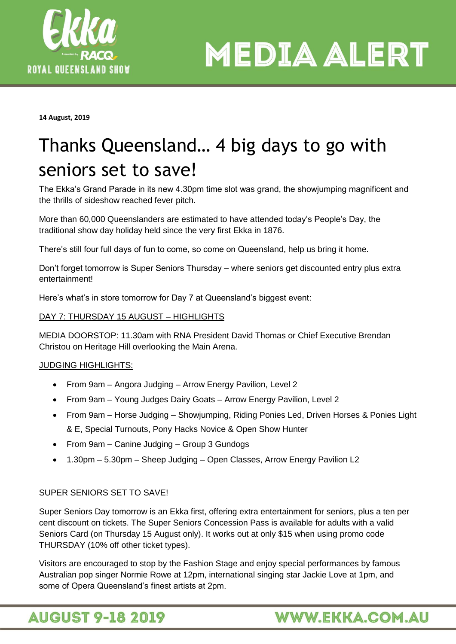

**MEDIA ALERT** 

**14 August, 2019**

# Thanks Queensland… 4 big days to go with seniors set to save!

The Ekka's Grand Parade in its new 4.30pm time slot was grand, the showjumping magnificent and the thrills of sideshow reached fever pitch.

More than 60,000 Queenslanders are estimated to have attended today's People's Day, the traditional show day holiday held since the very first Ekka in 1876.

There's still four full days of fun to come, so come on Queensland, help us bring it home.

Don't forget tomorrow is Super Seniors Thursday – where seniors get discounted entry plus extra entertainment!

Here's what's in store tomorrow for Day 7 at Queensland's biggest event:

### DAY 7: THURSDAY 15 AUGUST – HIGHLIGHTS

MEDIA DOORSTOP: 11.30am with RNA President David Thomas or Chief Executive Brendan Christou on Heritage Hill overlooking the Main Arena.

## JUDGING HIGHLIGHTS:

- From 9am Angora Judging Arrow Energy Pavilion, Level 2
- From 9am Young Judges Dairy Goats Arrow Energy Pavilion, Level 2
- From 9am Horse Judging Showjumping, Riding Ponies Led, Driven Horses & Ponies Light & E, Special Turnouts, Pony Hacks Novice & Open Show Hunter
- From 9am Canine Judging Group 3 Gundogs
- 1.30pm 5.30pm Sheep Judging Open Classes, Arrow Energy Pavilion L2

## SUPER SENIORS SET TO SAVE!

Super Seniors Day tomorrow is an Ekka first, offering extra entertainment for seniors, plus a ten per cent discount on tickets. The Super Seniors Concession Pass is available for adults with a valid Seniors Card (on Thursday 15 August only). It works out at only \$15 when using promo code THURSDAY (10% off other ticket types).

Visitors are encouraged to stop by the Fashion Stage and enjoy special performances by famous Australian pop singer Normie Rowe at 12pm, international singing star Jackie Love at 1pm, and some of Opera Queensland's finest artists at 2pm.

# **AUGUST 9-18 2019**

# **WWW.EKKA.COM.AU**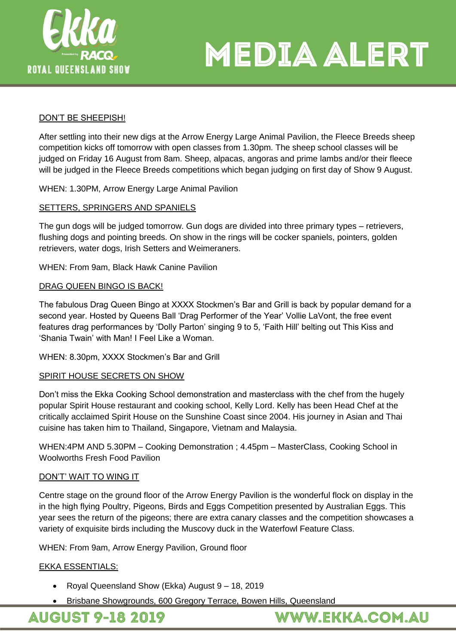



#### DON'T BE SHEEPISH!

After settling into their new digs at the Arrow Energy Large Animal Pavilion, the Fleece Breeds sheep competition kicks off tomorrow with open classes from 1.30pm. The sheep school classes will be judged on Friday 16 August from 8am. Sheep, alpacas, angoras and prime lambs and/or their fleece will be judged in the Fleece Breeds competitions which began judging on first day of Show 9 August.

WHEN: 1.30PM, Arrow Energy Large Animal Pavilion

#### SETTERS, SPRINGERS AND SPANIELS

The gun dogs will be judged tomorrow. Gun dogs are divided into three primary types – retrievers, flushing dogs and pointing breeds. On show in the rings will be cocker spaniels, pointers, golden retrievers, water dogs, Irish Setters and Weimeraners.

WHEN: From 9am, Black Hawk Canine Pavilion

#### DRAG QUEEN BINGO IS BACK!

The fabulous Drag Queen Bingo at XXXX Stockmen's Bar and Grill is back by popular demand for a second year. Hosted by Queens Ball 'Drag Performer of the Year' Vollie LaVont, the free event features drag performances by 'Dolly Parton' singing 9 to 5, 'Faith Hill' belting out This Kiss and 'Shania Twain' with Man! I Feel Like a Woman.

WHEN: 8.30pm, XXXX Stockmen's Bar and Grill

#### SPIRIT HOUSE SECRETS ON SHOW

Don't miss the Ekka Cooking School demonstration and masterclass with the chef from the hugely popular Spirit House restaurant and cooking school, Kelly Lord. Kelly has been Head Chef at the critically acclaimed Spirit House on the Sunshine Coast since 2004. His journey in Asian and Thai cuisine has taken him to Thailand, Singapore, Vietnam and Malaysia.

WHEN:4PM AND 5.30PM – Cooking Demonstration ; 4.45pm – MasterClass, Cooking School in Woolworths Fresh Food Pavilion

#### DON'T' WAIT TO WING IT

Centre stage on the ground floor of the Arrow Energy Pavilion is the wonderful flock on display in the in the high flying Poultry, Pigeons, Birds and Eggs Competition presented by Australian Eggs. This year sees the return of the pigeons; there are extra canary classes and the competition showcases a variety of exquisite birds including the Muscovy duck in the Waterfowl Feature Class.

WHEN: From 9am, Arrow Energy Pavilion, Ground floor

#### EKKA ESSENTIALS:

- Royal Queensland Show (Ekka) August 9 18, 2019
- Brisbane Showgrounds, 600 Gregory Terrace, Bowen Hills, Queensland

**AUGUST 9-18 2019** 

**WWW.EKKA.COM.AU**